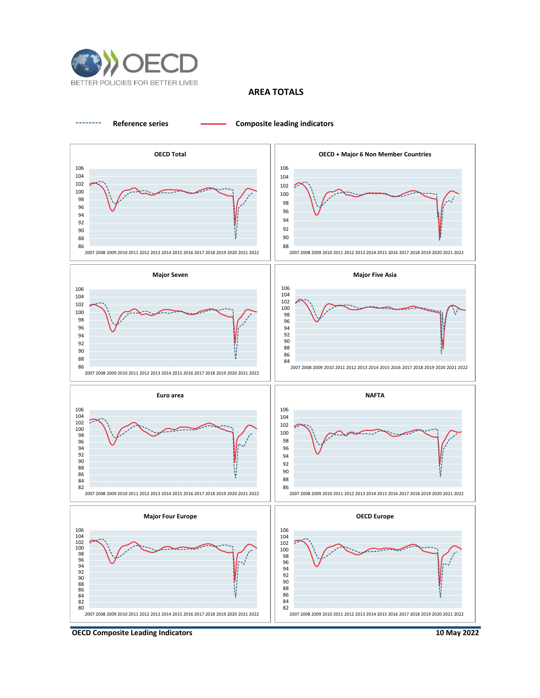

# **AREA TOTALS**



**OECD Composite Leading Indicators**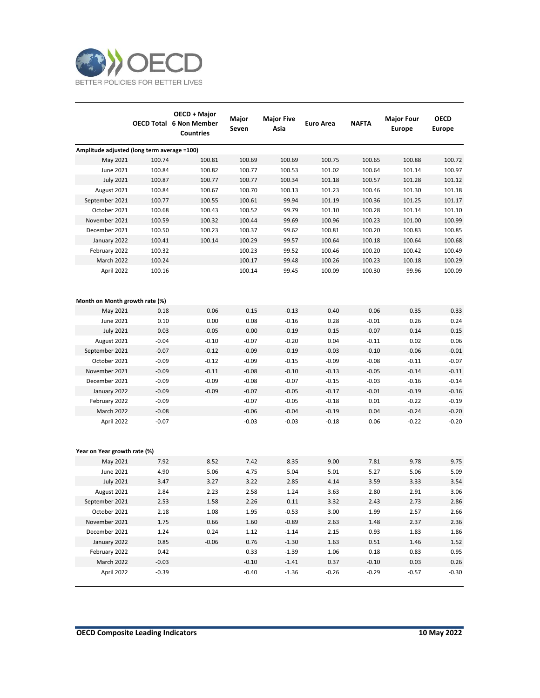

|                                             |         | OECD + Major<br><b>OECD Total 6 Non Member</b><br><b>Countries</b> | Major<br>Seven | <b>Major Five</b><br>Asia | Euro Area | <b>NAFTA</b> | <b>Major Four</b><br><b>Europe</b> | <b>OECD</b><br><b>Europe</b> |
|---------------------------------------------|---------|--------------------------------------------------------------------|----------------|---------------------------|-----------|--------------|------------------------------------|------------------------------|
| Amplitude adjusted (long term average =100) |         |                                                                    |                |                           |           |              |                                    |                              |
| May 2021                                    | 100.74  | 100.81                                                             | 100.69         | 100.69                    | 100.75    | 100.65       | 100.88                             | 100.72                       |
| June 2021                                   | 100.84  | 100.82                                                             | 100.77         | 100.53                    | 101.02    | 100.64       | 101.14                             | 100.97                       |
| <b>July 2021</b>                            | 100.87  | 100.77                                                             | 100.77         | 100.34                    | 101.18    | 100.57       | 101.28                             | 101.12                       |
| August 2021                                 | 100.84  | 100.67                                                             | 100.70         | 100.13                    | 101.23    | 100.46       | 101.30                             | 101.18                       |
| September 2021                              | 100.77  | 100.55                                                             | 100.61         | 99.94                     | 101.19    | 100.36       | 101.25                             | 101.17                       |
| October 2021                                | 100.68  | 100.43                                                             | 100.52         | 99.79                     | 101.10    | 100.28       | 101.14                             | 101.10                       |
| November 2021                               | 100.59  | 100.32                                                             | 100.44         | 99.69                     | 100.96    | 100.23       | 101.00                             | 100.99                       |
| December 2021                               | 100.50  | 100.23                                                             | 100.37         | 99.62                     | 100.81    | 100.20       | 100.83                             | 100.85                       |
| January 2022                                | 100.41  | 100.14                                                             | 100.29         | 99.57                     | 100.64    | 100.18       | 100.64                             | 100.68                       |
| February 2022                               | 100.32  |                                                                    | 100.23         | 99.52                     | 100.46    | 100.20       | 100.42                             | 100.49                       |
| March 2022                                  | 100.24  |                                                                    | 100.17         | 99.48                     | 100.26    | 100.23       | 100.18                             | 100.29                       |
| April 2022                                  | 100.16  |                                                                    | 100.14         | 99.45                     | 100.09    | 100.30       | 99.96                              | 100.09                       |
| Month on Month growth rate (%)              |         |                                                                    |                |                           |           |              |                                    |                              |
| May 2021                                    | 0.18    | 0.06                                                               | 0.15           | $-0.13$                   | 0.40      | 0.06         | 0.35                               | 0.33                         |
| June 2021                                   | 0.10    | 0.00                                                               | 0.08           | $-0.16$                   | 0.28      | $-0.01$      | 0.26                               | 0.24                         |
| <b>July 2021</b>                            | 0.03    | $-0.05$                                                            | 0.00           | $-0.19$                   | 0.15      | $-0.07$      | 0.14                               | 0.15                         |
| August 2021                                 | $-0.04$ | $-0.10$                                                            | $-0.07$        | $-0.20$                   | 0.04      | $-0.11$      | 0.02                               | 0.06                         |
| September 2021                              | $-0.07$ | $-0.12$                                                            | $-0.09$        | $-0.19$                   | $-0.03$   | $-0.10$      | $-0.06$                            | $-0.01$                      |
| October 2021                                | $-0.09$ | $-0.12$                                                            | $-0.09$        | $-0.15$                   | $-0.09$   | $-0.08$      | $-0.11$                            | $-0.07$                      |
| November 2021                               | $-0.09$ | $-0.11$                                                            | $-0.08$        | $-0.10$                   | $-0.13$   | $-0.05$      | $-0.14$                            | $-0.11$                      |
| December 2021                               | $-0.09$ | $-0.09$                                                            | $-0.08$        | $-0.07$                   | $-0.15$   | $-0.03$      | $-0.16$                            | $-0.14$                      |
| January 2022                                | $-0.09$ | $-0.09$                                                            | $-0.07$        | $-0.05$                   | $-0.17$   | $-0.01$      | $-0.19$                            | $-0.16$                      |
| February 2022                               | $-0.09$ |                                                                    | $-0.07$        | $-0.05$                   | $-0.18$   | 0.01         | $-0.22$                            | $-0.19$                      |
| March 2022                                  | $-0.08$ |                                                                    | $-0.06$        | $-0.04$                   | $-0.19$   | 0.04         | $-0.24$                            | $-0.20$                      |
| April 2022                                  | $-0.07$ |                                                                    | $-0.03$        | $-0.03$                   | $-0.18$   | 0.06         | $-0.22$                            | $-0.20$                      |
| Year on Year growth rate (%)                |         |                                                                    |                |                           |           |              |                                    |                              |
| May 2021                                    | 7.92    | 8.52                                                               | 7.42           | 8.35                      | 9.00      | 7.81         | 9.78                               | 9.75                         |
| June 2021                                   | 4.90    | 5.06                                                               | 4.75           | 5.04                      | 5.01      | 5.27         | 5.06                               | 5.09                         |
| <b>July 2021</b>                            | 3.47    | 3.27                                                               | 3.22           | 2.85                      | 4.14      | 3.59         | 3.33                               | 3.54                         |
| August 2021                                 | 2.84    | 2.23                                                               | 2.58           | 1.24                      | 3.63      | 2.80         | 2.91                               | 3.06                         |
| September 2021                              | 2.53    | 1.58                                                               | 2.26           | 0.11                      | 3.32      | 2.43         | 2.73                               | 2.86                         |
| October 2021                                | 2.18    | 1.08                                                               | 1.95           | $-0.53$                   | 3.00      | 1.99         | 2.57                               | 2.66                         |
| November 2021                               | 1.75    | 0.66                                                               | 1.60           | $-0.89$                   | 2.63      | 1.48         | 2.37                               | 2.36                         |
| December 2021                               | 1.24    | 0.24                                                               | 1.12           | $-1.14$                   | 2.15      | 0.93         | 1.83                               | 1.86                         |
| January 2022                                | 0.85    | $-0.06$                                                            | 0.76           | $-1.30$                   | 1.63      | 0.51         | 1.46                               | 1.52                         |
| February 2022                               | 0.42    |                                                                    | 0.33           | $-1.39$                   | 1.06      | 0.18         | 0.83                               | 0.95                         |
| March 2022                                  | $-0.03$ |                                                                    | $-0.10$        | $-1.41$                   | 0.37      | $-0.10$      | 0.03                               | 0.26                         |
| April 2022                                  | $-0.39$ |                                                                    | $-0.40$        | $-1.36$                   | $-0.26$   | $-0.29$      | $-0.57$                            | $-0.30$                      |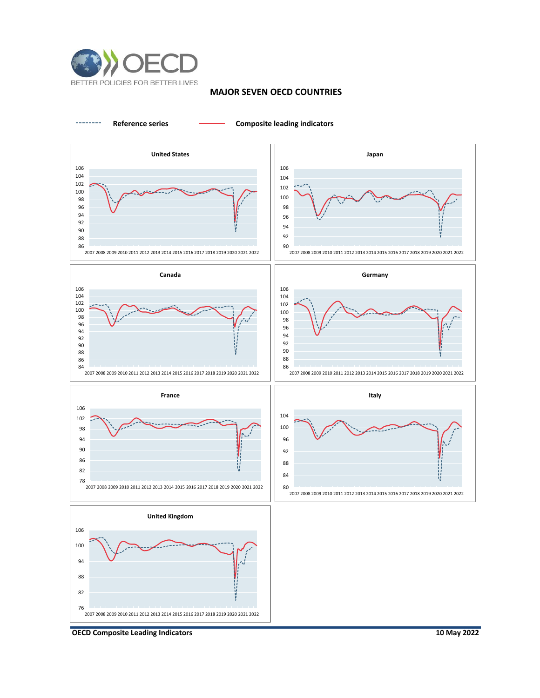

## **MAJOR SEVEN OECD COUNTRIES**

**Reference series Composite leading indicators**



**OECD Composite Leading Indicators**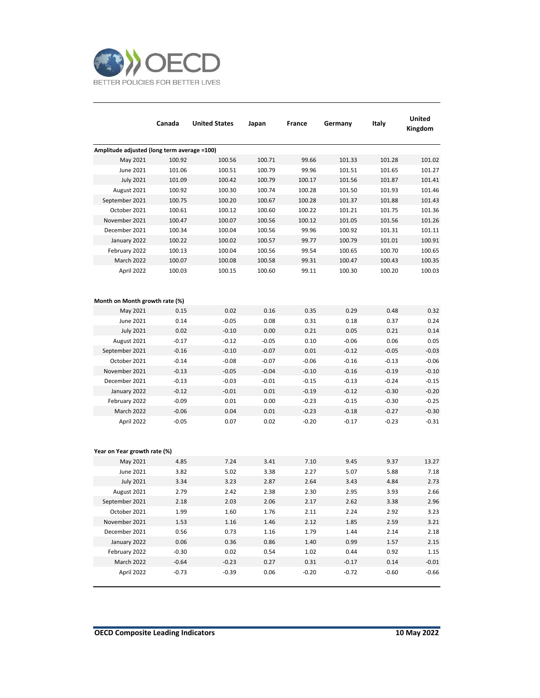

|                                             | Canada  | <b>United States</b> | Japan   | France  | Germany | Italy   | <b>United</b><br>Kingdom |
|---------------------------------------------|---------|----------------------|---------|---------|---------|---------|--------------------------|
| Amplitude adjusted (long term average =100) |         |                      |         |         |         |         |                          |
| May 2021                                    | 100.92  | 100.56               | 100.71  | 99.66   | 101.33  | 101.28  | 101.02                   |
| June 2021                                   | 101.06  | 100.51               | 100.79  | 99.96   | 101.51  | 101.65  | 101.27                   |
| <b>July 2021</b>                            | 101.09  | 100.42               | 100.79  | 100.17  | 101.56  | 101.87  | 101.41                   |
| August 2021                                 | 100.92  | 100.30               | 100.74  | 100.28  | 101.50  | 101.93  | 101.46                   |
| September 2021                              | 100.75  | 100.20               | 100.67  | 100.28  | 101.37  | 101.88  | 101.43                   |
| October 2021                                | 100.61  | 100.12               | 100.60  | 100.22  | 101.21  | 101.75  | 101.36                   |
| November 2021                               | 100.47  | 100.07               | 100.56  | 100.12  | 101.05  | 101.56  | 101.26                   |
| December 2021                               | 100.34  | 100.04               | 100.56  | 99.96   | 100.92  | 101.31  | 101.11                   |
| January 2022                                | 100.22  | 100.02               | 100.57  | 99.77   | 100.79  | 101.01  | 100.91                   |
| February 2022                               | 100.13  | 100.04               | 100.56  | 99.54   | 100.65  | 100.70  | 100.65                   |
| <b>March 2022</b>                           | 100.07  | 100.08               | 100.58  | 99.31   | 100.47  | 100.43  | 100.35                   |
| April 2022                                  | 100.03  | 100.15               | 100.60  | 99.11   | 100.30  | 100.20  | 100.03                   |
| Month on Month growth rate (%)              |         |                      |         |         |         |         |                          |
| May 2021                                    | 0.15    | 0.02                 | 0.16    | 0.35    | 0.29    | 0.48    | 0.32                     |
| June 2021                                   | 0.14    | $-0.05$              | 0.08    | 0.31    | 0.18    | 0.37    | 0.24                     |
| <b>July 2021</b>                            | 0.02    | $-0.10$              | 0.00    | 0.21    | 0.05    | 0.21    | 0.14                     |
| August 2021                                 | $-0.17$ | $-0.12$              | $-0.05$ | 0.10    | $-0.06$ | 0.06    | 0.05                     |
| September 2021                              | $-0.16$ | $-0.10$              | $-0.07$ | 0.01    | $-0.12$ | $-0.05$ | $-0.03$                  |
| October 2021                                | $-0.14$ | $-0.08$              | $-0.07$ | $-0.06$ | $-0.16$ | $-0.13$ | $-0.06$                  |
| November 2021                               | $-0.13$ | $-0.05$              | $-0.04$ | $-0.10$ | $-0.16$ | $-0.19$ | $-0.10$                  |
| December 2021                               | $-0.13$ | $-0.03$              | $-0.01$ | $-0.15$ | $-0.13$ | $-0.24$ | $-0.15$                  |
| January 2022                                | $-0.12$ | $-0.01$              | 0.01    | $-0.19$ | $-0.12$ | $-0.30$ | $-0.20$                  |
| February 2022                               | $-0.09$ | 0.01                 | 0.00    | $-0.23$ | $-0.15$ | $-0.30$ | $-0.25$                  |
| March 2022                                  | $-0.06$ | 0.04                 | 0.01    | $-0.23$ | $-0.18$ | $-0.27$ | $-0.30$                  |
| April 2022                                  | $-0.05$ | 0.07                 | 0.02    | $-0.20$ | $-0.17$ | $-0.23$ | $-0.31$                  |
| Year on Year growth rate (%)                |         |                      |         |         |         |         |                          |
| May 2021                                    | 4.85    | 7.24                 | 3.41    | 7.10    | 9.45    | 9.37    | 13.27                    |
| June 2021                                   | 3.82    | 5.02                 | 3.38    | 2.27    | 5.07    | 5.88    | 7.18                     |
| <b>July 2021</b>                            | 3.34    | 3.23                 | 2.87    | 2.64    | 3.43    | 4.84    | 2.73                     |
| August 2021                                 | 2.79    | 2.42                 | 2.38    | 2.30    | 2.95    | 3.93    | 2.66                     |
| September 2021                              | 2.18    | 2.03                 | 2.06    | 2.17    | 2.62    | 3.38    | 2.96                     |
| October 2021                                | 1.99    | 1.60                 | 1.76    | 2.11    | 2.24    | 2.92    | 3.23                     |
| November 2021                               | 1.53    | 1.16                 | 1.46    | 2.12    | 1.85    | 2.59    | 3.21                     |
| December 2021                               | 0.56    | 0.73                 | 1.16    | 1.79    | 1.44    | 2.14    | 2.18                     |
| January 2022                                | 0.06    | 0.36                 | 0.86    | 1.40    | 0.99    | 1.57    | 2.15                     |
| February 2022                               | $-0.30$ | 0.02                 | 0.54    | 1.02    | 0.44    | 0.92    | 1.15                     |
| March 2022                                  | $-0.64$ | $-0.23$              | 0.27    | 0.31    | $-0.17$ | 0.14    | $-0.01$                  |
| April 2022                                  | $-0.73$ | $-0.39$              | 0.06    | $-0.20$ | $-0.72$ | $-0.60$ | $-0.66$                  |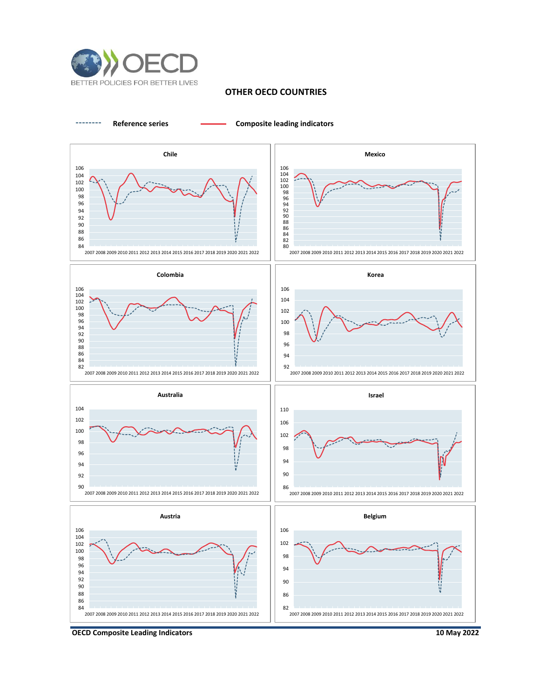

### **OTHER OECD COUNTRIES**

**Reference series Composite leading indicators**



**OECD Composite Leading Indicators**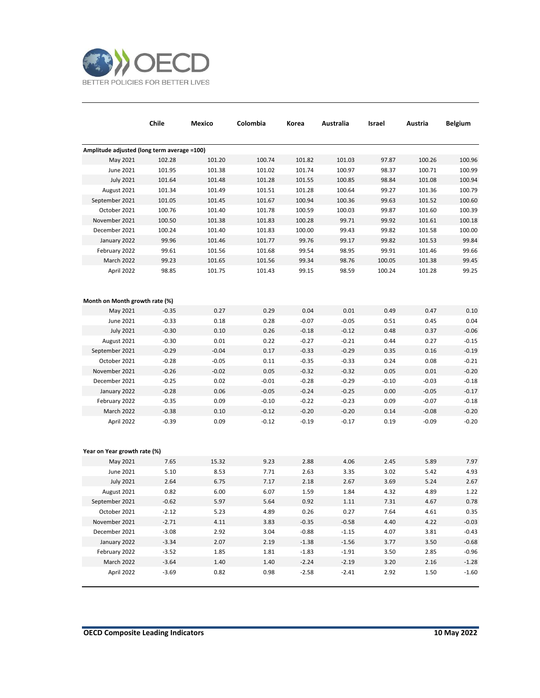

|                                             | Chile   | Mexico  | Colombia | Korea   | Australia | Israel  | Austria | <b>Belgium</b> |
|---------------------------------------------|---------|---------|----------|---------|-----------|---------|---------|----------------|
| Amplitude adjusted (long term average =100) |         |         |          |         |           |         |         |                |
| May 2021                                    | 102.28  | 101.20  | 100.74   | 101.82  | 101.03    | 97.87   | 100.26  | 100.96         |
| June 2021                                   | 101.95  | 101.38  | 101.02   | 101.74  | 100.97    | 98.37   | 100.71  | 100.99         |
| <b>July 2021</b>                            | 101.64  | 101.48  | 101.28   | 101.55  | 100.85    | 98.84   | 101.08  | 100.94         |
| August 2021                                 | 101.34  | 101.49  | 101.51   | 101.28  | 100.64    | 99.27   | 101.36  | 100.79         |
| September 2021                              | 101.05  | 101.45  | 101.67   | 100.94  | 100.36    | 99.63   | 101.52  | 100.60         |
| October 2021                                | 100.76  | 101.40  | 101.78   | 100.59  | 100.03    | 99.87   | 101.60  | 100.39         |
| November 2021                               | 100.50  | 101.38  | 101.83   | 100.28  | 99.71     | 99.92   | 101.61  | 100.18         |
| December 2021                               | 100.24  | 101.40  | 101.83   | 100.00  | 99.43     | 99.82   | 101.58  | 100.00         |
| January 2022                                | 99.96   | 101.46  | 101.77   | 99.76   | 99.17     | 99.82   | 101.53  | 99.84          |
| February 2022                               | 99.61   | 101.56  | 101.68   | 99.54   | 98.95     | 99.91   | 101.46  | 99.66          |
| March 2022                                  | 99.23   | 101.65  | 101.56   | 99.34   | 98.76     | 100.05  | 101.38  | 99.45          |
| April 2022                                  | 98.85   | 101.75  | 101.43   | 99.15   | 98.59     | 100.24  | 101.28  | 99.25          |
|                                             |         |         |          |         |           |         |         |                |
| Month on Month growth rate (%)              |         |         |          |         |           |         |         |                |
| May 2021                                    | $-0.35$ | 0.27    | 0.29     | 0.04    | 0.01      | 0.49    | 0.47    | 0.10           |
| June 2021                                   | $-0.33$ | 0.18    | 0.28     | $-0.07$ | $-0.05$   | 0.51    | 0.45    | 0.04           |
| <b>July 2021</b>                            | $-0.30$ | 0.10    | 0.26     | $-0.18$ | $-0.12$   | 0.48    | 0.37    | $-0.06$        |
| August 2021                                 | $-0.30$ | 0.01    | 0.22     | $-0.27$ | $-0.21$   | 0.44    | 0.27    | $-0.15$        |
| September 2021                              | $-0.29$ | $-0.04$ | 0.17     | $-0.33$ | $-0.29$   | 0.35    | 0.16    | $-0.19$        |
| October 2021                                | $-0.28$ | $-0.05$ | 0.11     | $-0.35$ | $-0.33$   | 0.24    | 0.08    | $-0.21$        |
| November 2021                               | $-0.26$ | $-0.02$ | 0.05     | $-0.32$ | $-0.32$   | 0.05    | 0.01    | $-0.20$        |
| December 2021                               | $-0.25$ | 0.02    | $-0.01$  | $-0.28$ | $-0.29$   | $-0.10$ | $-0.03$ | $-0.18$        |
| January 2022                                | $-0.28$ | 0.06    | $-0.05$  | $-0.24$ | $-0.25$   | 0.00    | $-0.05$ | $-0.17$        |
| February 2022                               | $-0.35$ | 0.09    | $-0.10$  | $-0.22$ | $-0.23$   | 0.09    | $-0.07$ | $-0.18$        |
| March 2022                                  | $-0.38$ | 0.10    | $-0.12$  | $-0.20$ | $-0.20$   | 0.14    | $-0.08$ | $-0.20$        |
| April 2022                                  | $-0.39$ | 0.09    | $-0.12$  | $-0.19$ | $-0.17$   | 0.19    | $-0.09$ | $-0.20$        |
|                                             |         |         |          |         |           |         |         |                |
| Year on Year growth rate (%)                |         |         |          |         |           |         |         |                |
| May 2021                                    | 7.65    | 15.32   | 9.23     | 2.88    | 4.06      | 2.45    | 5.89    | 7.97           |
| June 2021                                   | 5.10    | 8.53    | 7.71     | 2.63    | 3.35      | 3.02    | 5.42    | 4.93           |
| <b>July 2021</b>                            | 2.64    | 6.75    | 7.17     | 2.18    | 2.67      | 3.69    | 5.24    | 2.67           |
| August 2021                                 | 0.82    | 6.00    | 6.07     | 1.59    | 1.84      | 4.32    | 4.89    | 1.22           |
| September 2021                              | $-0.62$ | 5.97    | 5.64     | 0.92    | 1.11      | 7.31    | 4.67    | 0.78           |
| October 2021                                | $-2.12$ | 5.23    | 4.89     | 0.26    | 0.27      | 7.64    | 4.61    | 0.35           |
| November 2021                               | $-2.71$ | 4.11    | 3.83     | $-0.35$ | $-0.58$   | 4.40    | 4.22    | $-0.03$        |
| December 2021                               | $-3.08$ | 2.92    | 3.04     | $-0.88$ | $-1.15$   | 4.07    | 3.81    | $-0.43$        |
| January 2022                                | $-3.34$ | 2.07    | 2.19     | $-1.38$ | $-1.56$   | 3.77    | 3.50    | $-0.68$        |
| February 2022                               | $-3.52$ | 1.85    | 1.81     | $-1.83$ | $-1.91$   | 3.50    | 2.85    | $-0.96$        |
| March 2022                                  | $-3.64$ | 1.40    | 1.40     | $-2.24$ | $-2.19$   | 3.20    | 2.16    | $-1.28$        |
| April 2022                                  | $-3.69$ | 0.82    | 0.98     | $-2.58$ | $-2.41$   | 2.92    | 1.50    | $-1.60$        |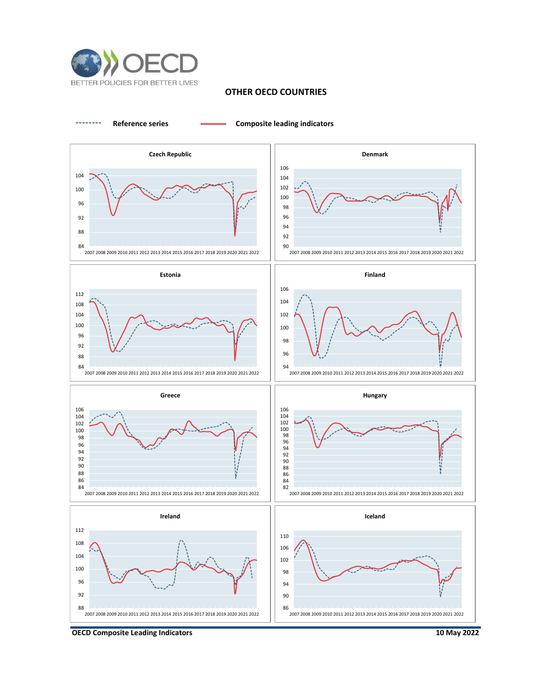

# **OTHER OECD COUNTRIES**



**OECD Composite Leading Indicators**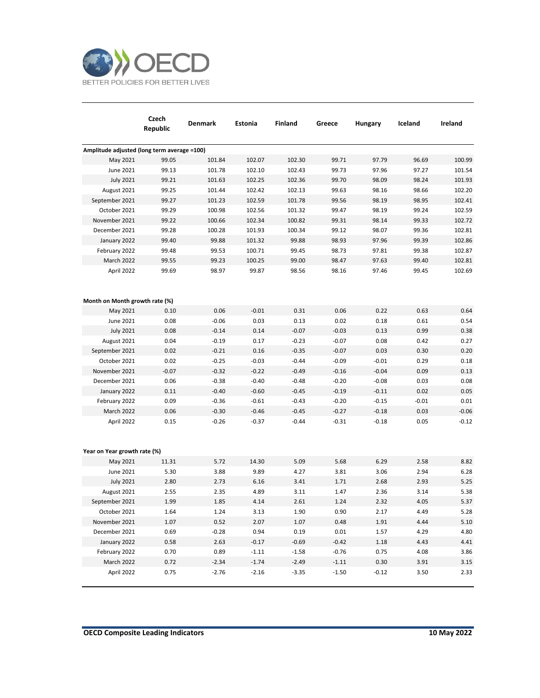

|                                             | Czech<br>Republic | Denmark | Estonia | Finland | Greece  | Hungary | Iceland | Ireland |
|---------------------------------------------|-------------------|---------|---------|---------|---------|---------|---------|---------|
| Amplitude adjusted (long term average =100) |                   |         |         |         |         |         |         |         |
| May 2021                                    | 99.05             | 101.84  | 102.07  | 102.30  | 99.71   | 97.79   | 96.69   | 100.99  |
| June 2021                                   | 99.13             | 101.78  | 102.10  | 102.43  | 99.73   | 97.96   | 97.27   | 101.54  |
| <b>July 2021</b>                            | 99.21             | 101.63  | 102.25  | 102.36  | 99.70   | 98.09   | 98.24   | 101.93  |
| August 2021                                 | 99.25             | 101.44  | 102.42  | 102.13  | 99.63   | 98.16   | 98.66   | 102.20  |
| September 2021                              | 99.27             | 101.23  | 102.59  | 101.78  | 99.56   | 98.19   | 98.95   | 102.41  |
| October 2021                                | 99.29             | 100.98  | 102.56  | 101.32  | 99.47   | 98.19   | 99.24   | 102.59  |
| November 2021                               | 99.22             | 100.66  | 102.34  | 100.82  | 99.31   | 98.14   | 99.33   | 102.72  |
| December 2021                               | 99.28             | 100.28  | 101.93  | 100.34  | 99.12   | 98.07   | 99.36   | 102.81  |
| January 2022                                | 99.40             | 99.88   | 101.32  | 99.88   | 98.93   | 97.96   | 99.39   | 102.86  |
| February 2022                               | 99.48             | 99.53   | 100.71  | 99.45   | 98.73   | 97.81   | 99.38   | 102.87  |
| March 2022                                  | 99.55             | 99.23   | 100.25  | 99.00   | 98.47   | 97.63   | 99.40   | 102.81  |
| April 2022                                  | 99.69             | 98.97   | 99.87   | 98.56   | 98.16   | 97.46   | 99.45   | 102.69  |
| Month on Month growth rate (%)              |                   |         |         |         |         |         |         |         |
| May 2021                                    | 0.10              | 0.06    | $-0.01$ | 0.31    | 0.06    | 0.22    | 0.63    | 0.64    |
| <b>June 2021</b>                            | 0.08              | $-0.06$ | 0.03    | 0.13    | 0.02    | 0.18    | 0.61    | 0.54    |
| <b>July 2021</b>                            | 0.08              | $-0.14$ | 0.14    | $-0.07$ | $-0.03$ | 0.13    | 0.99    | 0.38    |
| August 2021                                 | 0.04              | $-0.19$ | 0.17    | $-0.23$ | $-0.07$ | 0.08    | 0.42    | 0.27    |
| September 2021                              | 0.02              | $-0.21$ | 0.16    | $-0.35$ | $-0.07$ | 0.03    | 0.30    | 0.20    |
| October 2021                                | 0.02              | $-0.25$ | $-0.03$ | $-0.44$ | $-0.09$ | $-0.01$ | 0.29    | 0.18    |
| November 2021                               | $-0.07$           | $-0.32$ | $-0.22$ | $-0.49$ | $-0.16$ | $-0.04$ | 0.09    | 0.13    |
| December 2021                               | 0.06              | $-0.38$ | $-0.40$ | $-0.48$ | $-0.20$ | $-0.08$ | 0.03    | 0.08    |
| January 2022                                | 0.11              | $-0.40$ | $-0.60$ | $-0.45$ | $-0.19$ | $-0.11$ | 0.02    | 0.05    |
| February 2022                               | 0.09              | $-0.36$ | $-0.61$ | $-0.43$ | $-0.20$ | $-0.15$ | $-0.01$ | 0.01    |
| March 2022                                  | 0.06              | $-0.30$ | $-0.46$ | $-0.45$ | $-0.27$ | $-0.18$ | 0.03    | $-0.06$ |
| April 2022<br>Year on Year growth rate (%)  | 0.15              | $-0.26$ | $-0.37$ | $-0.44$ | $-0.31$ | $-0.18$ | 0.05    | $-0.12$ |
| May 2021                                    | 11.31             | 5.72    | 14.30   | 5.09    | 5.68    | 6.29    | 2.58    | 8.82    |
| <b>June 2021</b>                            | 5.30              | 3.88    | 9.89    | 4.27    | 3.81    | 3.06    | 2.94    | 6.28    |
| <b>July 2021</b>                            | 2.80              | 2.73    | 6.16    | 3.41    | 1.71    | 2.68    | 2.93    | 5.25    |
| August 2021                                 | 2.55              | 2.35    | 4.89    | 3.11    | 1.47    | 2.36    | 3.14    | 5.38    |
| September 2021                              | 1.99              | 1.85    | 4.14    | 2.61    | 1.24    | 2.32    | 4.05    | 5.37    |
| October 2021                                | 1.64              | 1.24    | 3.13    | 1.90    | 0.90    | 2.17    | 4.49    | 5.28    |
| November 2021                               | 1.07              | 0.52    | 2.07    | 1.07    | 0.48    | 1.91    | 4.44    | 5.10    |
| December 2021                               | 0.69              | $-0.28$ | 0.94    | 0.19    | 0.01    | 1.57    | 4.29    | 4.80    |
| January 2022                                | 0.58              | 2.63    | $-0.17$ | $-0.69$ | $-0.42$ | 1.18    | 4.43    | 4.41    |
| February 2022                               | 0.70              | 0.89    | $-1.11$ | $-1.58$ | $-0.76$ | 0.75    | 4.08    | 3.86    |
| March 2022                                  | 0.72              | $-2.34$ | $-1.74$ | $-2.49$ | $-1.11$ | 0.30    | 3.91    | 3.15    |
| April 2022                                  | 0.75              | $-2.76$ | $-2.16$ | $-3.35$ | $-1.50$ | $-0.12$ | 3.50    | 2.33    |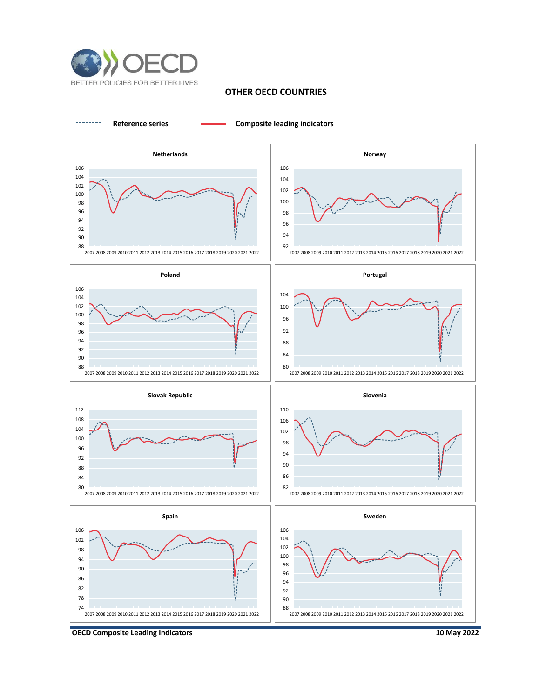

### **OTHER OECD COUNTRIES**



**OECD Composite Leading Indicators**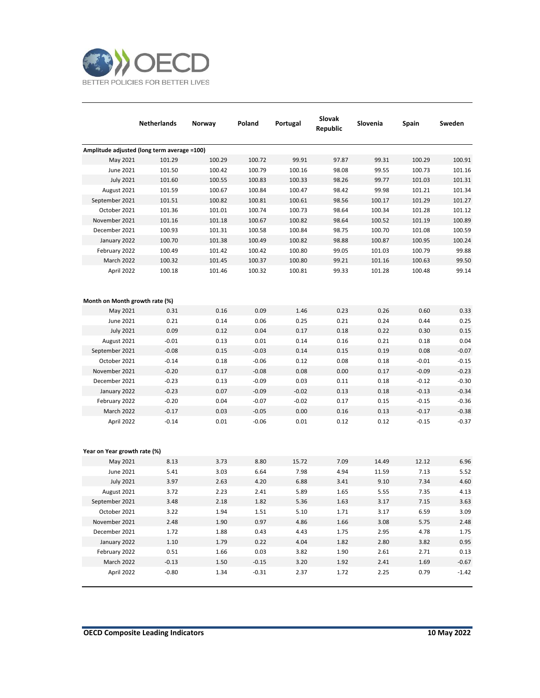

|                                             | <b>Netherlands</b> | Norway | Poland  | Portugal | Slovak<br>Republic | Slovenia | Spain   | Sweden  |
|---------------------------------------------|--------------------|--------|---------|----------|--------------------|----------|---------|---------|
| Amplitude adjusted (long term average =100) |                    |        |         |          |                    |          |         |         |
| May 2021                                    | 101.29             | 100.29 | 100.72  | 99.91    | 97.87              | 99.31    | 100.29  | 100.91  |
| June 2021                                   | 101.50             | 100.42 | 100.79  | 100.16   | 98.08              | 99.55    | 100.73  | 101.16  |
| <b>July 2021</b>                            | 101.60             | 100.55 | 100.83  | 100.33   | 98.26              | 99.77    | 101.03  | 101.31  |
| August 2021                                 | 101.59             | 100.67 | 100.84  | 100.47   | 98.42              | 99.98    | 101.21  | 101.34  |
| September 2021                              | 101.51             | 100.82 | 100.81  | 100.61   | 98.56              | 100.17   | 101.29  | 101.27  |
| October 2021                                | 101.36             | 101.01 | 100.74  | 100.73   | 98.64              | 100.34   | 101.28  | 101.12  |
| November 2021                               | 101.16             | 101.18 | 100.67  | 100.82   | 98.64              | 100.52   | 101.19  | 100.89  |
| December 2021                               | 100.93             | 101.31 | 100.58  | 100.84   | 98.75              | 100.70   | 101.08  | 100.59  |
| January 2022                                | 100.70             | 101.38 | 100.49  | 100.82   | 98.88              | 100.87   | 100.95  | 100.24  |
| February 2022                               | 100.49             | 101.42 | 100.42  | 100.80   | 99.05              | 101.03   | 100.79  | 99.88   |
| March 2022                                  | 100.32             | 101.45 | 100.37  | 100.80   | 99.21              | 101.16   | 100.63  | 99.50   |
| April 2022                                  | 100.18             | 101.46 | 100.32  | 100.81   | 99.33              | 101.28   | 100.48  | 99.14   |
| Month on Month growth rate (%)              |                    |        |         |          |                    |          |         |         |
| May 2021                                    | 0.31               | 0.16   | 0.09    | 1.46     | 0.23               | 0.26     | 0.60    | 0.33    |
| June 2021                                   | 0.21               | 0.14   | 0.06    | 0.25     | 0.21               | 0.24     | 0.44    | 0.25    |
| <b>July 2021</b>                            | 0.09               | 0.12   | 0.04    | 0.17     | 0.18               | 0.22     | 0.30    | 0.15    |
| August 2021                                 | $-0.01$            | 0.13   | 0.01    | 0.14     | 0.16               | 0.21     | 0.18    | 0.04    |
| September 2021                              | $-0.08$            | 0.15   | -0.03   | 0.14     | 0.15               | 0.19     | 0.08    | $-0.07$ |
| October 2021                                | $-0.14$            | 0.18   | $-0.06$ | 0.12     | 0.08               | 0.18     | $-0.01$ | $-0.15$ |
| November 2021                               | $-0.20$            | 0.17   | $-0.08$ | 0.08     | 0.00               | 0.17     | $-0.09$ | $-0.23$ |
| December 2021                               | $-0.23$            | 0.13   | $-0.09$ | 0.03     | 0.11               | 0.18     | $-0.12$ | $-0.30$ |
| January 2022                                | $-0.23$            | 0.07   | $-0.09$ | $-0.02$  | 0.13               | 0.18     | $-0.13$ | $-0.34$ |
| February 2022                               | $-0.20$            | 0.04   | $-0.07$ | $-0.02$  | 0.17               | 0.15     | $-0.15$ | $-0.36$ |
| March 2022                                  | $-0.17$            | 0.03   | $-0.05$ | 0.00     | 0.16               | 0.13     | $-0.17$ | $-0.38$ |
| April 2022                                  | $-0.14$            | 0.01   | $-0.06$ | 0.01     | 0.12               | 0.12     | $-0.15$ | $-0.37$ |
| Year on Year growth rate (%)                |                    |        |         |          |                    |          |         |         |
| May 2021                                    | 8.13               | 3.73   | 8.80    | 15.72    | 7.09               | 14.49    | 12.12   | 6.96    |
| June 2021                                   | 5.41               | 3.03   | 6.64    | 7.98     | 4.94               | 11.59    | 7.13    | 5.52    |
| <b>July 2021</b>                            | 3.97               | 2.63   | 4.20    | 6.88     | 3.41               | 9.10     | 7.34    | 4.60    |
| August 2021                                 | 3.72               | 2.23   | 2.41    | 5.89     | 1.65               | 5.55     | 7.35    | 4.13    |
| September 2021                              | 3.48               | 2.18   | 1.82    | 5.36     | 1.63               | 3.17     | 7.15    | 3.63    |
| October 2021                                | 3.22               | 1.94   | 1.51    | 5.10     | 1.71               | 3.17     | 6.59    | 3.09    |
| November 2021                               | 2.48               | 1.90   | 0.97    | 4.86     | 1.66               | 3.08     | 5.75    | 2.48    |
| December 2021                               | 1.72               | 1.88   | 0.43    | 4.43     | 1.75               | 2.95     | 4.78    | 1.75    |
| January 2022                                | 1.10               | 1.79   | 0.22    | 4.04     | 1.82               | 2.80     | 3.82    | 0.95    |
| February 2022                               | 0.51               | 1.66   | 0.03    | 3.82     | 1.90               | 2.61     | 2.71    | 0.13    |
| March 2022                                  | $-0.13$            | 1.50   | $-0.15$ | 3.20     | 1.92               | 2.41     | 1.69    | $-0.67$ |
| April 2022                                  | $-0.80$            | 1.34   | $-0.31$ | 2.37     | 1.72               | 2.25     | 0.79    | $-1.42$ |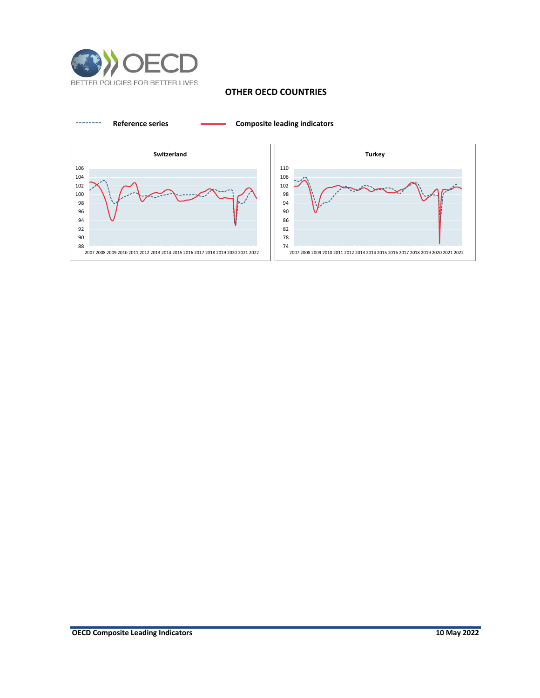

# **OTHER OECD COUNTRIES**

**Reference series Composite leading indicators**



**OECD Composite Leading Indicators**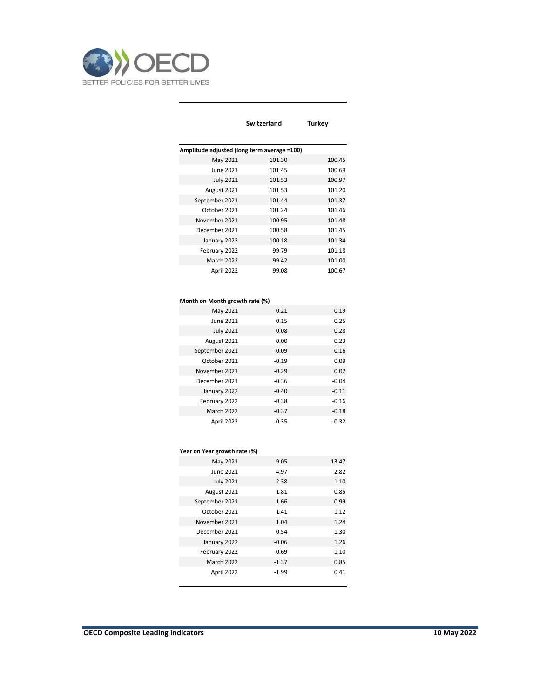

l,

|                                             | Switzerland | Turkey |
|---------------------------------------------|-------------|--------|
|                                             |             |        |
| Amplitude adjusted (long term average =100) |             |        |
| May 2021                                    | 101.30      | 100.45 |
| June 2021                                   | 101.45      | 100.69 |
| <b>July 2021</b>                            | 101.53      | 100.97 |
| August 2021                                 | 101.53      | 101.20 |
| September 2021                              | 101.44      | 101.37 |
| October 2021                                | 101.24      | 101.46 |
| November 2021                               | 100.95      | 101.48 |
| December 2021                               | 100.58      | 101.45 |
| January 2022                                | 100.18      | 101.34 |
| February 2022                               | 99.79       | 101.18 |
| <b>March 2022</b>                           | 99.42       | 101.00 |
| April 2022                                  | 99.08       | 100.67 |

#### **Month on Month growth rate (%)**

| May 2021          | 0.21    | 0.19    |
|-------------------|---------|---------|
| June 2021         | 0.15    | 0.25    |
| <b>July 2021</b>  | 0.08    | 0.28    |
| August 2021       | 0.00    | 0.23    |
| September 2021    | $-0.09$ | 0.16    |
| October 2021      | $-0.19$ | 0.09    |
| November 2021     | $-0.29$ | 0.02    |
| December 2021     | $-0.36$ | $-0.04$ |
| January 2022      | $-0.40$ | $-0.11$ |
| February 2022     | $-0.38$ | $-0.16$ |
| <b>March 2022</b> | $-0.37$ | $-0.18$ |
| April 2022        | $-0.35$ | $-0.32$ |

#### **Year on Year growth rate (%)**

| May 2021          | 9.05    | 13.47 |
|-------------------|---------|-------|
| June 2021         | 4.97    | 2.82  |
| <b>July 2021</b>  | 2.38    | 1.10  |
| August 2021       | 1.81    | 0.85  |
| September 2021    | 1.66    | 0.99  |
| October 2021      | 1.41    | 1.12  |
| November 2021     | 1.04    | 1.24  |
| December 2021     | 0.54    | 1.30  |
| January 2022      | $-0.06$ | 1.26  |
| February 2022     | $-0.69$ | 1.10  |
| <b>March 2022</b> | $-1.37$ | 0.85  |
| April 2022        | $-1.99$ | 0.41  |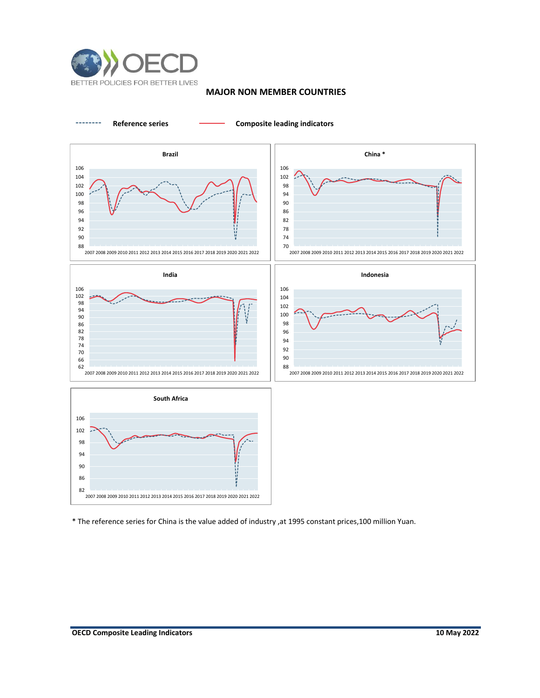

## **MAJOR NON MEMBER COUNTRIES**



\* The reference series for China is the value added of industry ,at 1995 constant prices,100 million Yuan.